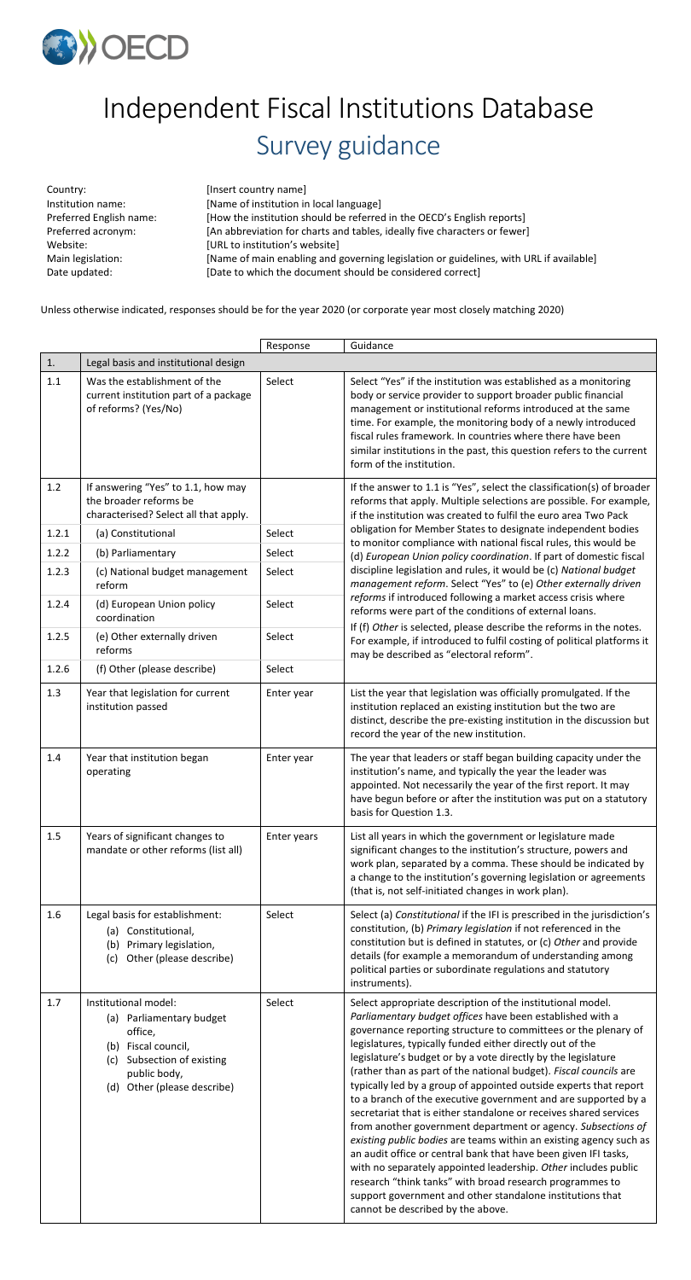

## Independent Fiscal Institutions Database Survey guidance

Country: [Insert country name]

Institution name: [Name of institution in local language] Preferred English name: [How the institution should be referred in the OECD's English reports] Preferred acronym: [An abbreviation for charts and tables, ideally five characters or fewer] Website: [URL to institution's website] Main legislation: [Name of main enabling and governing legislation or guidelines, with URL if available] Date updated: [Date to which the document should be considered correct]

Unless otherwise indicated, responses should be for the year 2020 (or corporate year most closely matching 2020)

|       |                                                                                                                     | Response    | Guidance                                                                                                                                                                                                                                                                                                                                                                                                                         |  |  |
|-------|---------------------------------------------------------------------------------------------------------------------|-------------|----------------------------------------------------------------------------------------------------------------------------------------------------------------------------------------------------------------------------------------------------------------------------------------------------------------------------------------------------------------------------------------------------------------------------------|--|--|
| 1.    | Legal basis and institutional design                                                                                |             |                                                                                                                                                                                                                                                                                                                                                                                                                                  |  |  |
| 1.1   | Was the establishment of the<br>current institution part of a package<br>of reforms? (Yes/No)                       | Select      | Select "Yes" if the institution was established as a monitoring<br>body or service provider to support broader public financial<br>management or institutional reforms introduced at the same<br>time. For example, the monitoring body of a newly introduced<br>fiscal rules framework. In countries where there have been<br>similar institutions in the past, this question refers to the current<br>form of the institution. |  |  |
| 1.2   | If answering "Yes" to 1.1, how may<br>the broader reforms be<br>characterised? Select all that apply.               |             | If the answer to 1.1 is "Yes", select the classification(s) of broader<br>reforms that apply. Multiple selections are possible. For example,<br>if the institution was created to fulfil the euro area Two Pack                                                                                                                                                                                                                  |  |  |
| 1.2.1 | (a) Constitutional                                                                                                  | Select      | obligation for Member States to designate independent bodies<br>to monitor compliance with national fiscal rules, this would be                                                                                                                                                                                                                                                                                                  |  |  |
| 1.2.2 | (b) Parliamentary                                                                                                   | Select      | (d) European Union policy coordination. If part of domestic fiscal                                                                                                                                                                                                                                                                                                                                                               |  |  |
| 1.2.3 | (c) National budget management<br>reform                                                                            | Select      | discipline legislation and rules, it would be (c) National budget<br>management reform. Select "Yes" to (e) Other externally driven                                                                                                                                                                                                                                                                                              |  |  |
| 1.2.4 | (d) European Union policy<br>coordination                                                                           | Select      | reforms if introduced following a market access crisis where<br>reforms were part of the conditions of external loans.                                                                                                                                                                                                                                                                                                           |  |  |
| 1.2.5 | (e) Other externally driven<br>reforms                                                                              | Select      | If (f) Other is selected, please describe the reforms in the notes.<br>For example, if introduced to fulfil costing of political platforms it<br>may be described as "electoral reform".                                                                                                                                                                                                                                         |  |  |
| 1.2.6 | (f) Other (please describe)                                                                                         | Select      |                                                                                                                                                                                                                                                                                                                                                                                                                                  |  |  |
| 1.3   | Year that legislation for current<br>institution passed                                                             | Enter year  | List the year that legislation was officially promulgated. If the<br>institution replaced an existing institution but the two are<br>distinct, describe the pre-existing institution in the discussion but<br>record the year of the new institution.                                                                                                                                                                            |  |  |
| 1.4   | Year that institution began<br>operating                                                                            | Enter year  | The year that leaders or staff began building capacity under the<br>institution's name, and typically the year the leader was<br>appointed. Not necessarily the year of the first report. It may<br>have begun before or after the institution was put on a statutory<br>basis for Question 1.3.                                                                                                                                 |  |  |
| 1.5   | Years of significant changes to<br>mandate or other reforms (list all)                                              | Enter years | List all years in which the government or legislature made<br>significant changes to the institution's structure, powers and<br>work plan, separated by a comma. These should be indicated by<br>a change to the institution's governing legislation or agreements<br>(that is, not self-initiated changes in work plan).                                                                                                        |  |  |
| 1.6   | Legal basis for establishment:<br>(a) Constitutional,<br>(b) Primary legislation,<br>Other (please describe)<br>(c) | Select      | Select (a) Constitutional if the IFI is prescribed in the jurisdiction's<br>constitution, (b) Primary legislation if not referenced in the<br>constitution but is defined in statutes, or (c) Other and provide<br>details (for example a memorandum of understanding among<br>political parties or subordinate regulations and statutory<br>instruments).                                                                       |  |  |
| 1.7   | Institutional model:                                                                                                | Select      | Select appropriate description of the institutional model.<br>Parliamentary hudget offices have been established with a                                                                                                                                                                                                                                                                                                          |  |  |

- (a) Parliamentary budget office,
- (b) Fiscal council,
- (c) Subsection of existing public body,
- (d) Other (please describe)

*Parliamentary budget offices* have been established with a governance reporting structure to committees or the plenary of legislatures, typically funded either directly out of the legislature's budget or by a vote directly by the legislature (rather than as part of the national budget). *Fiscal councils* are typically led by a group of appointed outside experts that report to a branch of the executive government and are supported by a secretariat that is either standalone or receives shared services from another government department or agency. *Subsections of existing public bodies* are teams within an existing agency such as an audit office or central bank that have been given IFI tasks, with no separately appointed leadership. *Other* includes public research "think tanks" with broad research programmes to support government and other standalone institutions that cannot be described by the above.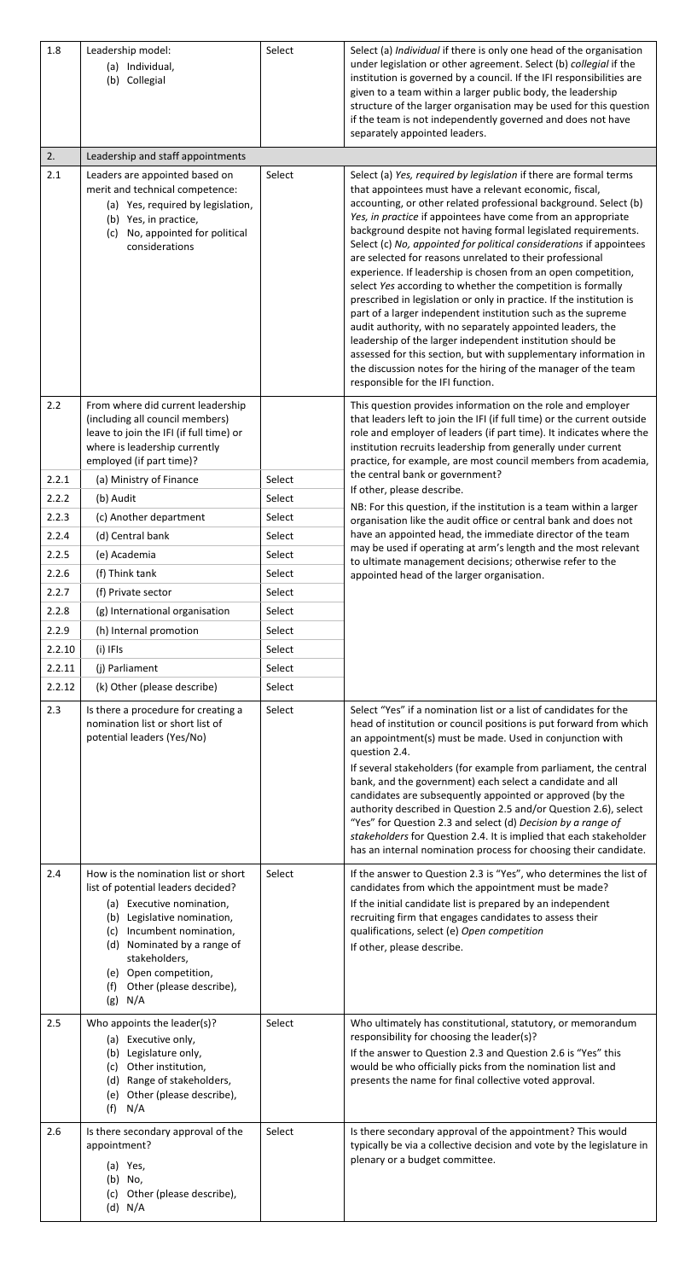| 1.8            | Leadership model:<br>(a) Individual,<br>(b) Collegial                                                                                                                                                                                                                                                 | Select           | Select (a) Individual if there is only one head of the organisation<br>under legislation or other agreement. Select (b) collegial if the<br>institution is governed by a council. If the IFI responsibilities are<br>given to a team within a larger public body, the leadership<br>structure of the larger organisation may be used for this question<br>if the team is not independently governed and does not have<br>separately appointed leaders.                                                                                                                                                                                                                                                                                                                                                                                                                                                                                                                                                                                             |
|----------------|-------------------------------------------------------------------------------------------------------------------------------------------------------------------------------------------------------------------------------------------------------------------------------------------------------|------------------|----------------------------------------------------------------------------------------------------------------------------------------------------------------------------------------------------------------------------------------------------------------------------------------------------------------------------------------------------------------------------------------------------------------------------------------------------------------------------------------------------------------------------------------------------------------------------------------------------------------------------------------------------------------------------------------------------------------------------------------------------------------------------------------------------------------------------------------------------------------------------------------------------------------------------------------------------------------------------------------------------------------------------------------------------|
| 2.             | Leadership and staff appointments                                                                                                                                                                                                                                                                     |                  |                                                                                                                                                                                                                                                                                                                                                                                                                                                                                                                                                                                                                                                                                                                                                                                                                                                                                                                                                                                                                                                    |
| 2.1            | Leaders are appointed based on<br>merit and technical competence:<br>(a) Yes, required by legislation,<br>(b) Yes, in practice,<br>No, appointed for political<br>(c)<br>considerations                                                                                                               | Select           | Select (a) Yes, required by legislation if there are formal terms<br>that appointees must have a relevant economic, fiscal,<br>accounting, or other related professional background. Select (b)<br>Yes, in practice if appointees have come from an appropriate<br>background despite not having formal legislated requirements.<br>Select (c) No, appointed for political considerations if appointees<br>are selected for reasons unrelated to their professional<br>experience. If leadership is chosen from an open competition,<br>select Yes according to whether the competition is formally<br>prescribed in legislation or only in practice. If the institution is<br>part of a larger independent institution such as the supreme<br>audit authority, with no separately appointed leaders, the<br>leadership of the larger independent institution should be<br>assessed for this section, but with supplementary information in<br>the discussion notes for the hiring of the manager of the team<br>responsible for the IFI function. |
| 2.2            | From where did current leadership<br>(including all council members)<br>leave to join the IFI (if full time) or<br>where is leadership currently<br>employed (if part time)?                                                                                                                          |                  | This question provides information on the role and employer<br>that leaders left to join the IFI (if full time) or the current outside<br>role and employer of leaders (if part time). It indicates where the<br>institution recruits leadership from generally under current<br>practice, for example, are most council members from academia,                                                                                                                                                                                                                                                                                                                                                                                                                                                                                                                                                                                                                                                                                                    |
| 2.2.1          | (a) Ministry of Finance                                                                                                                                                                                                                                                                               | Select           | the central bank or government?<br>If other, please describe.                                                                                                                                                                                                                                                                                                                                                                                                                                                                                                                                                                                                                                                                                                                                                                                                                                                                                                                                                                                      |
| 2.2.2          | (b) Audit                                                                                                                                                                                                                                                                                             | Select           | NB: For this question, if the institution is a team within a larger                                                                                                                                                                                                                                                                                                                                                                                                                                                                                                                                                                                                                                                                                                                                                                                                                                                                                                                                                                                |
| 2.2.3          | (c) Another department                                                                                                                                                                                                                                                                                | Select           | organisation like the audit office or central bank and does not                                                                                                                                                                                                                                                                                                                                                                                                                                                                                                                                                                                                                                                                                                                                                                                                                                                                                                                                                                                    |
| 2.2.4          | (d) Central bank                                                                                                                                                                                                                                                                                      | Select           | have an appointed head, the immediate director of the team<br>may be used if operating at arm's length and the most relevant                                                                                                                                                                                                                                                                                                                                                                                                                                                                                                                                                                                                                                                                                                                                                                                                                                                                                                                       |
| 2.2.5          | (e) Academia                                                                                                                                                                                                                                                                                          | Select           | to ultimate management decisions; otherwise refer to the                                                                                                                                                                                                                                                                                                                                                                                                                                                                                                                                                                                                                                                                                                                                                                                                                                                                                                                                                                                           |
| 2.2.6<br>2.2.7 | (f) Think tank<br>(f) Private sector                                                                                                                                                                                                                                                                  | Select<br>Select | appointed head of the larger organisation.                                                                                                                                                                                                                                                                                                                                                                                                                                                                                                                                                                                                                                                                                                                                                                                                                                                                                                                                                                                                         |
| 2.2.8          | (g) International organisation                                                                                                                                                                                                                                                                        | Select           |                                                                                                                                                                                                                                                                                                                                                                                                                                                                                                                                                                                                                                                                                                                                                                                                                                                                                                                                                                                                                                                    |
| 2.2.9          | (h) Internal promotion                                                                                                                                                                                                                                                                                | Select           |                                                                                                                                                                                                                                                                                                                                                                                                                                                                                                                                                                                                                                                                                                                                                                                                                                                                                                                                                                                                                                                    |
| 2.2.10         | (i) IFIs                                                                                                                                                                                                                                                                                              | Select           |                                                                                                                                                                                                                                                                                                                                                                                                                                                                                                                                                                                                                                                                                                                                                                                                                                                                                                                                                                                                                                                    |
| 2.2.11         | (j) Parliament                                                                                                                                                                                                                                                                                        | Select           |                                                                                                                                                                                                                                                                                                                                                                                                                                                                                                                                                                                                                                                                                                                                                                                                                                                                                                                                                                                                                                                    |
| 2.2.12         | (k) Other (please describe)                                                                                                                                                                                                                                                                           | Select           |                                                                                                                                                                                                                                                                                                                                                                                                                                                                                                                                                                                                                                                                                                                                                                                                                                                                                                                                                                                                                                                    |
| 2.3            | Is there a procedure for creating a<br>nomination list or short list of<br>potential leaders (Yes/No)                                                                                                                                                                                                 | Select           | Select "Yes" if a nomination list or a list of candidates for the<br>head of institution or council positions is put forward from which<br>an appointment(s) must be made. Used in conjunction with<br>question 2.4.<br>If several stakeholders (for example from parliament, the central<br>bank, and the government) each select a candidate and all<br>candidates are subsequently appointed or approved (by the<br>authority described in Question 2.5 and/or Question 2.6), select<br>"Yes" for Question 2.3 and select (d) Decision by a range of<br>stakeholders for Question 2.4. It is implied that each stakeholder<br>has an internal nomination process for choosing their candidate.                                                                                                                                                                                                                                                                                                                                                  |
| 2.4            | How is the nomination list or short<br>list of potential leaders decided?<br>(a) Executive nomination,<br>(b) Legislative nomination,<br>Incumbent nomination,<br>(c)<br>Nominated by a range of<br>(d)<br>stakeholders,<br>Open competition,<br>(e)<br>Other (please describe),<br>(f)<br>(g)<br>N/A | Select           | If the answer to Question 2.3 is "Yes", who determines the list of<br>candidates from which the appointment must be made?<br>If the initial candidate list is prepared by an independent<br>recruiting firm that engages candidates to assess their<br>qualifications, select (e) Open competition<br>If other, please describe.                                                                                                                                                                                                                                                                                                                                                                                                                                                                                                                                                                                                                                                                                                                   |
| 2.5            | Who appoints the leader(s)?<br>(a) Executive only,<br>(b) Legislature only,<br>Other institution,<br>(c)<br>(d) Range of stakeholders,<br>Other (please describe),<br>(e)<br>N/A<br>(f)                                                                                                               | Select           | Who ultimately has constitutional, statutory, or memorandum<br>responsibility for choosing the leader(s)?<br>If the answer to Question 2.3 and Question 2.6 is "Yes" this<br>would be who officially picks from the nomination list and<br>presents the name for final collective voted approval.                                                                                                                                                                                                                                                                                                                                                                                                                                                                                                                                                                                                                                                                                                                                                  |
| 2.6            | Is there secondary approval of the<br>appointment?<br>(a) Yes,<br>(b) No,<br>Other (please describe),<br>(c)<br>$(d)$ N/A                                                                                                                                                                             | Select           | Is there secondary approval of the appointment? This would<br>typically be via a collective decision and vote by the legislature in<br>plenary or a budget committee.                                                                                                                                                                                                                                                                                                                                                                                                                                                                                                                                                                                                                                                                                                                                                                                                                                                                              |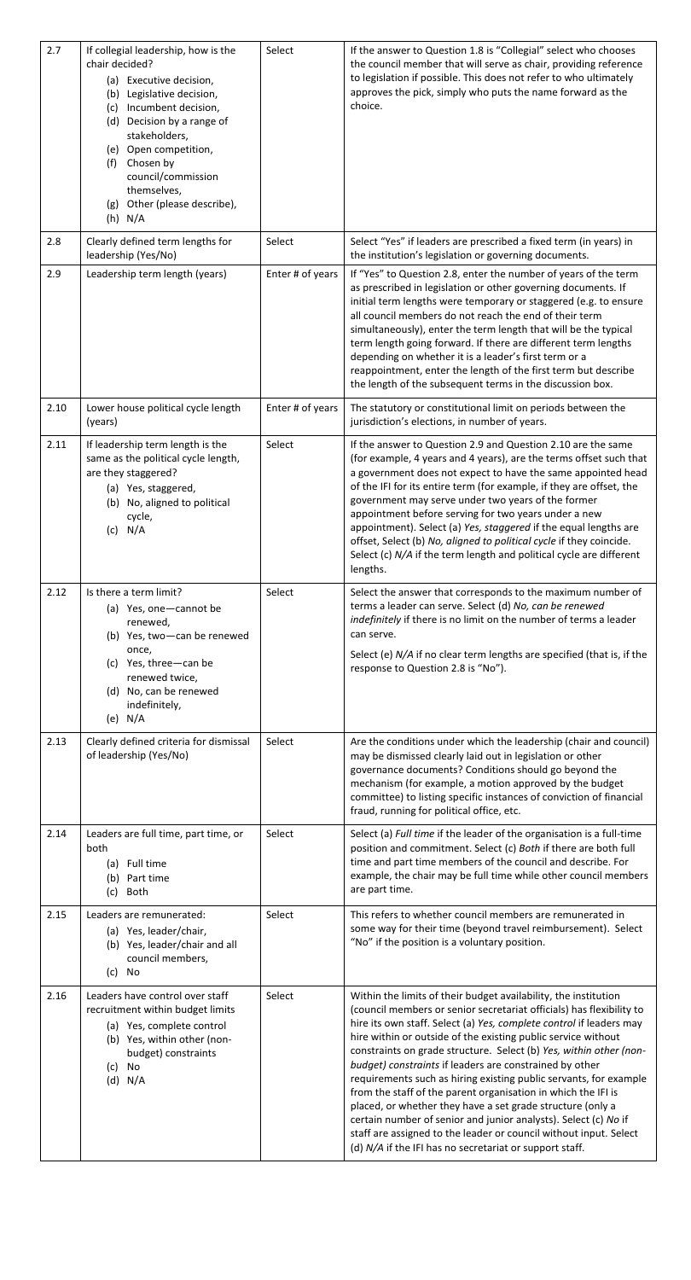| 2.7  | If collegial leadership, how is the<br>chair decided?<br>(a) Executive decision,<br>(b) Legislative decision,<br>Incumbent decision,<br>(c)<br>(d) Decision by a range of<br>stakeholders,<br>(e) Open competition,<br>(f) Chosen by<br>council/commission<br>themselves,<br>Other (please describe),<br>(g)<br>$(h)$ N/A | Select           | If the answer to Question 1.8 is "Collegial" select who chooses<br>the council member that will serve as chair, providing reference<br>to legislation if possible. This does not refer to who ultimately<br>approves the pick, simply who puts the name forward as the<br>choice.                                                                                                                                                                                                                                                                                                                                                                                                                                                                                                                                       |
|------|---------------------------------------------------------------------------------------------------------------------------------------------------------------------------------------------------------------------------------------------------------------------------------------------------------------------------|------------------|-------------------------------------------------------------------------------------------------------------------------------------------------------------------------------------------------------------------------------------------------------------------------------------------------------------------------------------------------------------------------------------------------------------------------------------------------------------------------------------------------------------------------------------------------------------------------------------------------------------------------------------------------------------------------------------------------------------------------------------------------------------------------------------------------------------------------|
| 2.8  | Clearly defined term lengths for<br>leadership (Yes/No)                                                                                                                                                                                                                                                                   | Select           | Select "Yes" if leaders are prescribed a fixed term (in years) in<br>the institution's legislation or governing documents.                                                                                                                                                                                                                                                                                                                                                                                                                                                                                                                                                                                                                                                                                              |
| 2.9  | Leadership term length (years)                                                                                                                                                                                                                                                                                            | Enter # of years | If "Yes" to Question 2.8, enter the number of years of the term<br>as prescribed in legislation or other governing documents. If<br>initial term lengths were temporary or staggered (e.g. to ensure<br>all council members do not reach the end of their term<br>simultaneously), enter the term length that will be the typical<br>term length going forward. If there are different term lengths<br>depending on whether it is a leader's first term or a<br>reappointment, enter the length of the first term but describe<br>the length of the subsequent terms in the discussion box.                                                                                                                                                                                                                             |
| 2.10 | Lower house political cycle length<br>(years)                                                                                                                                                                                                                                                                             | Enter # of years | The statutory or constitutional limit on periods between the<br>jurisdiction's elections, in number of years.                                                                                                                                                                                                                                                                                                                                                                                                                                                                                                                                                                                                                                                                                                           |
| 2.11 | If leadership term length is the<br>same as the political cycle length,<br>are they staggered?<br>(a) Yes, staggered,<br>(b) No, aligned to political<br>cycle,<br>$(c)$ N/A                                                                                                                                              | Select           | If the answer to Question 2.9 and Question 2.10 are the same<br>(for example, 4 years and 4 years), are the terms offset such that<br>a government does not expect to have the same appointed head<br>of the IFI for its entire term (for example, if they are offset, the<br>government may serve under two years of the former<br>appointment before serving for two years under a new<br>appointment). Select (a) Yes, staggered if the equal lengths are<br>offset, Select (b) No, aligned to political cycle if they coincide<br>Select (c) N/A if the term length and political cycle are different<br>lengths.                                                                                                                                                                                                   |
| 2.12 | Is there a term limit?<br>(a) Yes, one-cannot be<br>renewed,<br>(b) Yes, two-can be renewed<br>once,<br>(c) Yes, three-can be<br>renewed twice,<br>(d) No, can be renewed<br>indefinitely,<br>(e) $N/A$                                                                                                                   | Select           | Select the answer that corresponds to the maximum number of<br>terms a leader can serve. Select (d) No, can be renewed<br>indefinitely if there is no limit on the number of terms a leader<br>can serve.<br>Select (e) N/A if no clear term lengths are specified (that is, if the<br>response to Question 2.8 is "No").                                                                                                                                                                                                                                                                                                                                                                                                                                                                                               |
| 2.13 | Clearly defined criteria for dismissal<br>of leadership (Yes/No)                                                                                                                                                                                                                                                          | Select           | Are the conditions under which the leadership (chair and council)<br>may be dismissed clearly laid out in legislation or other<br>governance documents? Conditions should go beyond the<br>mechanism (for example, a motion approved by the budget<br>committee) to listing specific instances of conviction of financial<br>fraud, running for political office, etc.                                                                                                                                                                                                                                                                                                                                                                                                                                                  |
| 2.14 | Leaders are full time, part time, or<br>both<br>(a) Full time<br>(b) Part time<br>Both<br>(c)                                                                                                                                                                                                                             | Select           | Select (a) Full time if the leader of the organisation is a full-time<br>position and commitment. Select (c) Both if there are both full<br>time and part time members of the council and describe. For<br>example, the chair may be full time while other council members<br>are part time.                                                                                                                                                                                                                                                                                                                                                                                                                                                                                                                            |
| 2.15 | Leaders are remunerated:<br>(a) Yes, leader/chair,<br>(b) Yes, leader/chair and all<br>council members,<br>(c) No                                                                                                                                                                                                         | Select           | This refers to whether council members are remunerated in<br>some way for their time (beyond travel reimbursement). Select<br>"No" if the position is a voluntary position.                                                                                                                                                                                                                                                                                                                                                                                                                                                                                                                                                                                                                                             |
| 2.16 | Leaders have control over staff<br>recruitment within budget limits<br>(a) Yes, complete control<br>(b) Yes, within other (non-<br>budget) constraints<br>No<br>(c)<br>$(d)$ N/A                                                                                                                                          | Select           | Within the limits of their budget availability, the institution<br>(council members or senior secretariat officials) has flexibility to<br>hire its own staff. Select (a) Yes, complete control if leaders may<br>hire within or outside of the existing public service without<br>constraints on grade structure. Select (b) Yes, within other (non-<br>budget) constraints if leaders are constrained by other<br>requirements such as hiring existing public servants, for example<br>from the staff of the parent organisation in which the IFI is<br>placed, or whether they have a set grade structure (only a<br>certain number of senior and junior analysts). Select (c) No if<br>staff are assigned to the leader or council without input. Select<br>(d) N/A if the IFI has no secretariat or support staff. |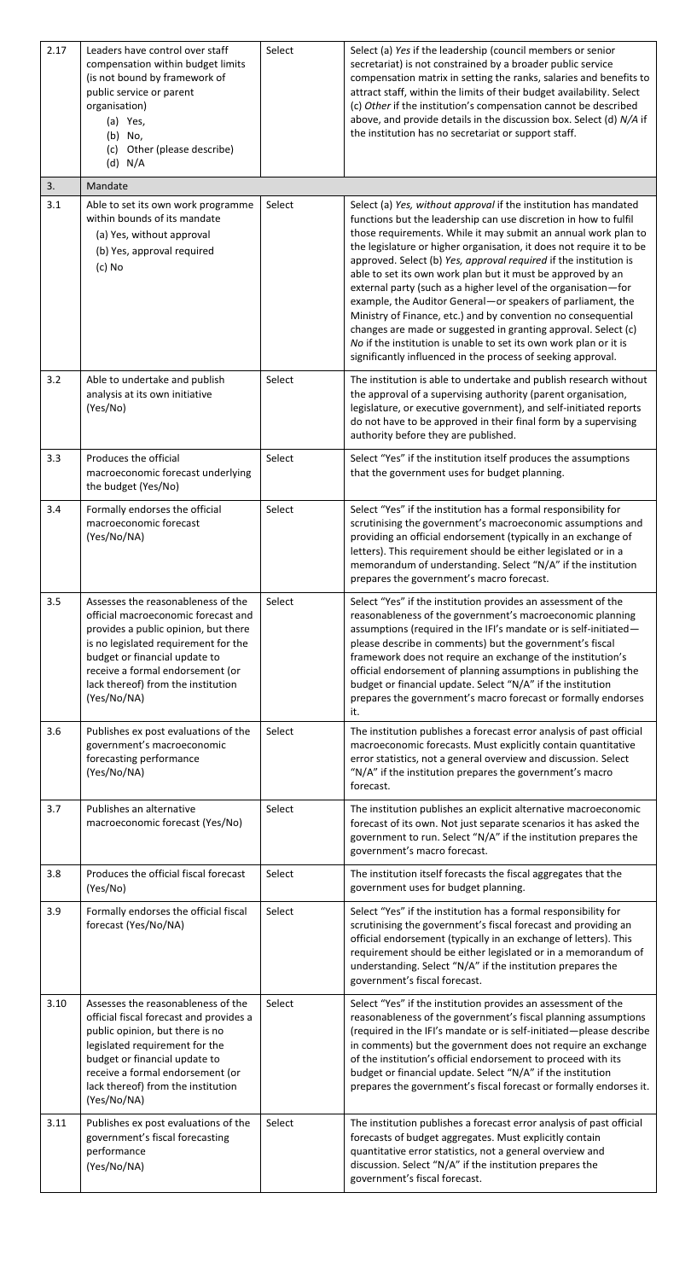| 2.17 | Leaders have control over staff<br>compensation within budget limits<br>(is not bound by framework of<br>public service or parent<br>organisation)<br>(a) Yes,<br>(b) No,<br>(c) Other (please describe)<br>$(d)$ N/A                                                               | Select | Select (a) Yes if the leadership (council members or senior<br>secretariat) is not constrained by a broader public service<br>compensation matrix in setting the ranks, salaries and benefits to<br>attract staff, within the limits of their budget availability. Select<br>(c) Other if the institution's compensation cannot be described<br>above, and provide details in the discussion box. Select (d) N/A if<br>the institution has no secretariat or support staff.                                                                                                                                                                                                                                                                                                                                                 |
|------|-------------------------------------------------------------------------------------------------------------------------------------------------------------------------------------------------------------------------------------------------------------------------------------|--------|-----------------------------------------------------------------------------------------------------------------------------------------------------------------------------------------------------------------------------------------------------------------------------------------------------------------------------------------------------------------------------------------------------------------------------------------------------------------------------------------------------------------------------------------------------------------------------------------------------------------------------------------------------------------------------------------------------------------------------------------------------------------------------------------------------------------------------|
| 3.   | Mandate                                                                                                                                                                                                                                                                             |        |                                                                                                                                                                                                                                                                                                                                                                                                                                                                                                                                                                                                                                                                                                                                                                                                                             |
| 3.1  | Able to set its own work programme<br>within bounds of its mandate<br>(a) Yes, without approval<br>(b) Yes, approval required<br>$(c)$ No                                                                                                                                           | Select | Select (a) Yes, without approval if the institution has mandated<br>functions but the leadership can use discretion in how to fulfil<br>those requirements. While it may submit an annual work plan to<br>the legislature or higher organisation, it does not require it to be<br>approved. Select (b) Yes, approval required if the institution is<br>able to set its own work plan but it must be approved by an<br>external party (such as a higher level of the organisation-for<br>example, the Auditor General-or speakers of parliament, the<br>Ministry of Finance, etc.) and by convention no consequential<br>changes are made or suggested in granting approval. Select (c)<br>No if the institution is unable to set its own work plan or it is<br>significantly influenced in the process of seeking approval. |
| 3.2  | Able to undertake and publish<br>analysis at its own initiative<br>(Yes/No)                                                                                                                                                                                                         | Select | The institution is able to undertake and publish research without<br>the approval of a supervising authority (parent organisation,<br>legislature, or executive government), and self-initiated reports<br>do not have to be approved in their final form by a supervising<br>authority before they are published.                                                                                                                                                                                                                                                                                                                                                                                                                                                                                                          |
| 3.3  | Produces the official<br>macroeconomic forecast underlying<br>the budget (Yes/No)                                                                                                                                                                                                   | Select | Select "Yes" if the institution itself produces the assumptions<br>that the government uses for budget planning.                                                                                                                                                                                                                                                                                                                                                                                                                                                                                                                                                                                                                                                                                                            |
| 3.4  | Formally endorses the official<br>macroeconomic forecast<br>(Yes/No/NA)                                                                                                                                                                                                             | Select | Select "Yes" if the institution has a formal responsibility for<br>scrutinising the government's macroeconomic assumptions and<br>providing an official endorsement (typically in an exchange of<br>letters). This requirement should be either legislated or in a<br>memorandum of understanding. Select "N/A" if the institution<br>prepares the government's macro forecast.                                                                                                                                                                                                                                                                                                                                                                                                                                             |
| 3.5  | Assesses the reasonableness of the<br>official macroeconomic forecast and<br>provides a public opinion, but there<br>is no legislated requirement for the<br>budget or financial update to<br>receive a formal endorsement (or<br>lack thereof) from the institution<br>(Yes/No/NA) | Select | Select "Yes" if the institution provides an assessment of the<br>reasonableness of the government's macroeconomic planning<br>assumptions (required in the IFI's mandate or is self-initiated-<br>please describe in comments) but the government's fiscal<br>framework does not require an exchange of the institution's<br>official endorsement of planning assumptions in publishing the<br>budget or financial update. Select "N/A" if the institution<br>prepares the government's macro forecast or formally endorses<br>it.                                                                                                                                                                                                                                                                                          |
| 3.6  | Publishes ex post evaluations of the<br>government's macroeconomic<br>forecasting performance<br>(Yes/No/NA)                                                                                                                                                                        | Select | The institution publishes a forecast error analysis of past official<br>macroeconomic forecasts. Must explicitly contain quantitative<br>error statistics, not a general overview and discussion. Select<br>"N/A" if the institution prepares the government's macro<br>forecast.                                                                                                                                                                                                                                                                                                                                                                                                                                                                                                                                           |
| 3.7  | Publishes an alternative<br>macroeconomic forecast (Yes/No)                                                                                                                                                                                                                         | Select | The institution publishes an explicit alternative macroeconomic<br>forecast of its own. Not just separate scenarios it has asked the<br>government to run. Select "N/A" if the institution prepares the<br>government's macro forecast.                                                                                                                                                                                                                                                                                                                                                                                                                                                                                                                                                                                     |
| 3.8  | Produces the official fiscal forecast<br>(Yes/No)                                                                                                                                                                                                                                   | Select | The institution itself forecasts the fiscal aggregates that the<br>government uses for budget planning.                                                                                                                                                                                                                                                                                                                                                                                                                                                                                                                                                                                                                                                                                                                     |
| 3.9  | Formally endorses the official fiscal<br>forecast (Yes/No/NA)                                                                                                                                                                                                                       | Select | Select "Yes" if the institution has a formal responsibility for<br>scrutinising the government's fiscal forecast and providing an<br>official endorsement (typically in an exchange of letters). This<br>requirement should be either legislated or in a memorandum of<br>understanding. Select "N/A" if the institution prepares the<br>government's fiscal forecast.                                                                                                                                                                                                                                                                                                                                                                                                                                                      |
| 3.10 | Assesses the reasonableness of the<br>official fiscal forecast and provides a<br>public opinion, but there is no<br>legislated requirement for the<br>budget or financial update to<br>receive a formal endorsement (or<br>lack thereof) from the institution<br>(Yes/No/NA)        | Select | Select "Yes" if the institution provides an assessment of the<br>reasonableness of the government's fiscal planning assumptions<br>(required in the IFI's mandate or is self-initiated-please describe<br>in comments) but the government does not require an exchange<br>of the institution's official endorsement to proceed with its<br>budget or financial update. Select "N/A" if the institution<br>prepares the government's fiscal forecast or formally endorses it.                                                                                                                                                                                                                                                                                                                                                |
| 3.11 | Publishes ex post evaluations of the<br>government's fiscal forecasting<br>performance<br>(Yes/No/NA)                                                                                                                                                                               | Select | The institution publishes a forecast error analysis of past official<br>forecasts of budget aggregates. Must explicitly contain<br>quantitative error statistics, not a general overview and<br>discussion. Select "N/A" if the institution prepares the<br>government's fiscal forecast.                                                                                                                                                                                                                                                                                                                                                                                                                                                                                                                                   |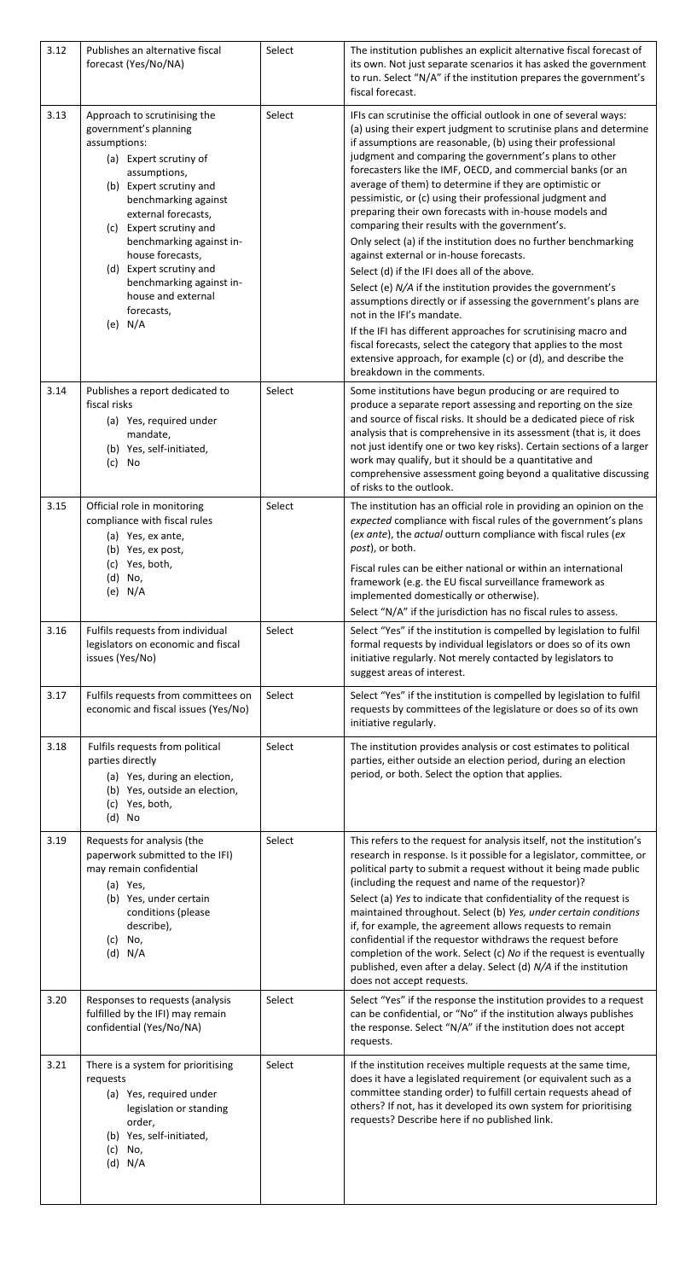| 3.12 | Publishes an alternative fiscal<br>forecast (Yes/No/NA)                                                                                                                                                                                                                                                                                                                          | Select | The institution publishes an explicit alternative fiscal forecast of<br>its own. Not just separate scenarios it has asked the government<br>to run. Select "N/A" if the institution prepares the government's<br>fiscal forecast.                                                                                                                                                                                                                                                                                                                                                                                                                                                                                                                                                                                                                                                                                                                                                                                                                                                                                                |
|------|----------------------------------------------------------------------------------------------------------------------------------------------------------------------------------------------------------------------------------------------------------------------------------------------------------------------------------------------------------------------------------|--------|----------------------------------------------------------------------------------------------------------------------------------------------------------------------------------------------------------------------------------------------------------------------------------------------------------------------------------------------------------------------------------------------------------------------------------------------------------------------------------------------------------------------------------------------------------------------------------------------------------------------------------------------------------------------------------------------------------------------------------------------------------------------------------------------------------------------------------------------------------------------------------------------------------------------------------------------------------------------------------------------------------------------------------------------------------------------------------------------------------------------------------|
| 3.13 | Approach to scrutinising the<br>government's planning<br>assumptions:<br>(a) Expert scrutiny of<br>assumptions,<br>(b) Expert scrutiny and<br>benchmarking against<br>external forecasts,<br>Expert scrutiny and<br>(c)<br>benchmarking against in-<br>house forecasts,<br>(d) Expert scrutiny and<br>benchmarking against in-<br>house and external<br>forecasts,<br>N/A<br>(e) | Select | IFIs can scrutinise the official outlook in one of several ways:<br>(a) using their expert judgment to scrutinise plans and determine<br>if assumptions are reasonable, (b) using their professional<br>judgment and comparing the government's plans to other<br>forecasters like the IMF, OECD, and commercial banks (or an<br>average of them) to determine if they are optimistic or<br>pessimistic, or (c) using their professional judgment and<br>preparing their own forecasts with in-house models and<br>comparing their results with the government's.<br>Only select (a) if the institution does no further benchmarking<br>against external or in-house forecasts.<br>Select (d) if the IFI does all of the above.<br>Select (e) N/A if the institution provides the government's<br>assumptions directly or if assessing the government's plans are<br>not in the IFI's mandate.<br>If the IFI has different approaches for scrutinising macro and<br>fiscal forecasts, select the category that applies to the most<br>extensive approach, for example (c) or (d), and describe the<br>breakdown in the comments. |
| 3.14 | Publishes a report dedicated to<br>fiscal risks<br>(a) Yes, required under<br>mandate,<br>(b) Yes, self-initiated,<br>(c)<br>No                                                                                                                                                                                                                                                  | Select | Some institutions have begun producing or are required to<br>produce a separate report assessing and reporting on the size<br>and source of fiscal risks. It should be a dedicated piece of risk<br>analysis that is comprehensive in its assessment (that is, it does<br>not just identify one or two key risks). Certain sections of a larger<br>work may qualify, but it should be a quantitative and<br>comprehensive assessment going beyond a qualitative discussing<br>of risks to the outlook.                                                                                                                                                                                                                                                                                                                                                                                                                                                                                                                                                                                                                           |
| 3.15 | Official role in monitoring<br>compliance with fiscal rules<br>(a) Yes, ex ante,<br>(b) Yes, ex post,<br>Yes, both,<br>(c)<br>No,<br>(d)<br>(e) $N/A$                                                                                                                                                                                                                            | Select | The institution has an official role in providing an opinion on the<br>expected compliance with fiscal rules of the government's plans<br>(ex ante), the actual outturn compliance with fiscal rules (ex<br>post), or both.<br>Fiscal rules can be either national or within an international<br>framework (e.g. the EU fiscal surveillance framework as<br>implemented domestically or otherwise).<br>Select "N/A" if the jurisdiction has no fiscal rules to assess.                                                                                                                                                                                                                                                                                                                                                                                                                                                                                                                                                                                                                                                           |
| 3.16 | Fulfils requests from individual<br>legislators on economic and fiscal<br>issues (Yes/No)                                                                                                                                                                                                                                                                                        | Select | Select "Yes" if the institution is compelled by legislation to fulfil<br>formal requests by individual legislators or does so of its own<br>initiative regularly. Not merely contacted by legislators to<br>suggest areas of interest.                                                                                                                                                                                                                                                                                                                                                                                                                                                                                                                                                                                                                                                                                                                                                                                                                                                                                           |
| 3.17 | Fulfils requests from committees on<br>economic and fiscal issues (Yes/No)                                                                                                                                                                                                                                                                                                       | Select | Select "Yes" if the institution is compelled by legislation to fulfil<br>requests by committees of the legislature or does so of its own<br>initiative regularly.                                                                                                                                                                                                                                                                                                                                                                                                                                                                                                                                                                                                                                                                                                                                                                                                                                                                                                                                                                |
| 3.18 | Fulfils requests from political<br>parties directly<br>(a) Yes, during an election,<br>(b) Yes, outside an election,<br>Yes, both,<br>(c)<br>$(d)$ No                                                                                                                                                                                                                            | Select | The institution provides analysis or cost estimates to political<br>parties, either outside an election period, during an election<br>period, or both. Select the option that applies.                                                                                                                                                                                                                                                                                                                                                                                                                                                                                                                                                                                                                                                                                                                                                                                                                                                                                                                                           |
| 3.19 | Requests for analysis (the<br>paperwork submitted to the IFI)<br>may remain confidential<br>(a) Yes,<br>(b) Yes, under certain<br>conditions (please<br>describe),<br>(c)<br>No,<br>$(d)$ N/A                                                                                                                                                                                    | Select | This refers to the request for analysis itself, not the institution's<br>research in response. Is it possible for a legislator, committee, or<br>political party to submit a request without it being made public<br>(including the request and name of the requestor)?<br>Select (a) Yes to indicate that confidentiality of the request is<br>maintained throughout. Select (b) Yes, under certain conditions<br>if, for example, the agreement allows requests to remain<br>confidential if the requestor withdraws the request before<br>completion of the work. Select (c) No if the request is eventually<br>published, even after a delay. Select (d) N/A if the institution<br>does not accept requests.                                                                                                                                                                                                                                                                                                                                                                                                                 |
| 3.20 | Responses to requests (analysis<br>fulfilled by the IFI) may remain<br>confidential (Yes/No/NA)                                                                                                                                                                                                                                                                                  | Select | Select "Yes" if the response the institution provides to a request<br>can be confidential, or "No" if the institution always publishes<br>the response. Select "N/A" if the institution does not accept<br>requests.                                                                                                                                                                                                                                                                                                                                                                                                                                                                                                                                                                                                                                                                                                                                                                                                                                                                                                             |
| 3.21 | There is a system for prioritising<br>requests<br>(a) Yes, required under<br>legislation or standing<br>order,<br>(b) Yes, self-initiated,<br>No,<br>(c)<br>$(d)$ N/A                                                                                                                                                                                                            | Select | If the institution receives multiple requests at the same time,<br>does it have a legislated requirement (or equivalent such as a<br>committee standing order) to fulfill certain requests ahead of<br>others? If not, has it developed its own system for prioritising<br>requests? Describe here if no published link.                                                                                                                                                                                                                                                                                                                                                                                                                                                                                                                                                                                                                                                                                                                                                                                                         |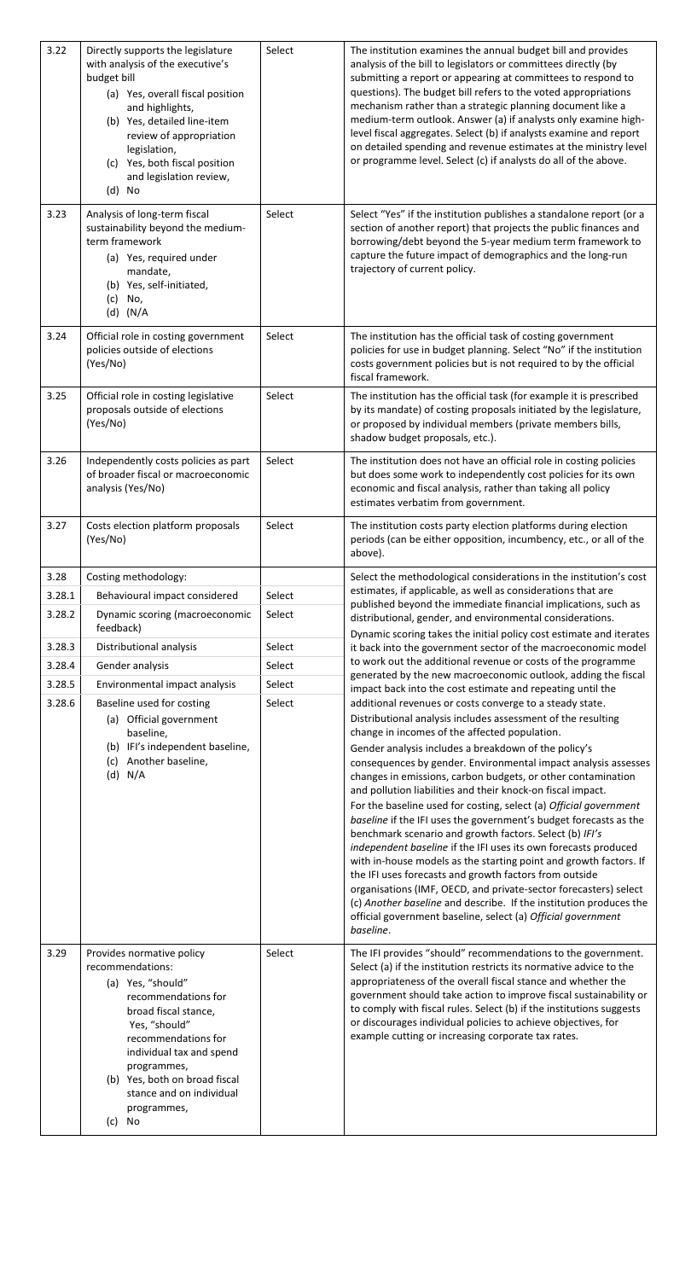| 3.22   | Directly supports the legislature<br>with analysis of the executive's<br>budget bill<br>(a) Yes, overall fiscal position<br>and highlights,<br>(b) Yes, detailed line-item<br>review of appropriation<br>legislation,<br>(c) Yes, both fiscal position<br>and legislation review,<br>$(d)$ No | Select | The institution examines the annual budget bill and provides<br>analysis of the bill to legislators or committees directly (by<br>submitting a report or appearing at committees to respond to<br>questions). The budget bill refers to the voted appropriations<br>mechanism rather than a strategic planning document like a<br>medium-term outlook. Answer (a) if analysts only examine high-<br>level fiscal aggregates. Select (b) if analysts examine and report<br>on detailed spending and revenue estimates at the ministry level<br>or programme level. Select (c) if analysts do all of the above. |
|--------|-----------------------------------------------------------------------------------------------------------------------------------------------------------------------------------------------------------------------------------------------------------------------------------------------|--------|---------------------------------------------------------------------------------------------------------------------------------------------------------------------------------------------------------------------------------------------------------------------------------------------------------------------------------------------------------------------------------------------------------------------------------------------------------------------------------------------------------------------------------------------------------------------------------------------------------------|
| 3.23   | Analysis of long-term fiscal<br>sustainability beyond the medium-<br>term framework<br>(a) Yes, required under<br>mandate,<br>(b) Yes, self-initiated,<br>No,<br>(c)<br>$(d)$ (N/A                                                                                                            | Select | Select "Yes" if the institution publishes a standalone report (or a<br>section of another report) that projects the public finances and<br>borrowing/debt beyond the 5-year medium term framework to<br>capture the future impact of demographics and the long-run<br>trajectory of current policy.                                                                                                                                                                                                                                                                                                           |
| 3.24   | Official role in costing government<br>policies outside of elections<br>(Yes/No)                                                                                                                                                                                                              | Select | The institution has the official task of costing government<br>policies for use in budget planning. Select "No" if the institution<br>costs government policies but is not required to by the official<br>fiscal framework.                                                                                                                                                                                                                                                                                                                                                                                   |
| 3.25   | Official role in costing legislative<br>proposals outside of elections<br>(Yes/No)                                                                                                                                                                                                            | Select | The institution has the official task (for example it is prescribed<br>by its mandate) of costing proposals initiated by the legislature,<br>or proposed by individual members (private members bills,<br>shadow budget proposals, etc.).                                                                                                                                                                                                                                                                                                                                                                     |
| 3.26   | Independently costs policies as part<br>of broader fiscal or macroeconomic<br>analysis (Yes/No)                                                                                                                                                                                               | Select | The institution does not have an official role in costing policies<br>but does some work to independently cost policies for its own<br>economic and fiscal analysis, rather than taking all policy<br>estimates verbatim from government.                                                                                                                                                                                                                                                                                                                                                                     |
| 3.27   | Costs election platform proposals<br>(Yes/No)                                                                                                                                                                                                                                                 | Select | The institution costs party election platforms during election<br>periods (can be either opposition, incumbency, etc., or all of the<br>above).                                                                                                                                                                                                                                                                                                                                                                                                                                                               |
| 3.28   | Costing methodology:                                                                                                                                                                                                                                                                          |        | Select the methodological considerations in the institution's cost                                                                                                                                                                                                                                                                                                                                                                                                                                                                                                                                            |
| 3.28.1 | Behavioural impact considered                                                                                                                                                                                                                                                                 | Select | estimates, if applicable, as well as considerations that are<br>published beyond the immediate financial implications, such as                                                                                                                                                                                                                                                                                                                                                                                                                                                                                |
| 3.28.2 | Dynamic scoring (macroeconomic<br>feedback)                                                                                                                                                                                                                                                   | Select | distributional, gender, and environmental considerations.<br>Dynamic scoring takes the initial policy cost estimate and iterates                                                                                                                                                                                                                                                                                                                                                                                                                                                                              |
| 3.28.3 | Distributional analysis                                                                                                                                                                                                                                                                       | Select | it back into the government sector of the macroeconomic model                                                                                                                                                                                                                                                                                                                                                                                                                                                                                                                                                 |
| 3.28.4 | Gender analysis                                                                                                                                                                                                                                                                               | Select | to work out the additional revenue or costs of the programme<br>generated by the new macroeconomic outlook, adding the fiscal                                                                                                                                                                                                                                                                                                                                                                                                                                                                                 |
| 3.28.5 | Environmental impact analysis                                                                                                                                                                                                                                                                 | Select | impact back into the cost estimate and repeating until the                                                                                                                                                                                                                                                                                                                                                                                                                                                                                                                                                    |
| 3.28.6 | Baseline used for costing                                                                                                                                                                                                                                                                     | Select | additional revenues or costs converge to a steady state.                                                                                                                                                                                                                                                                                                                                                                                                                                                                                                                                                      |
|        | (a) Official government                                                                                                                                                                                                                                                                       |        | Distributional analysis includes assessment of the resulting                                                                                                                                                                                                                                                                                                                                                                                                                                                                                                                                                  |
|        | baseline,<br>(b) IFI's independent baseline,                                                                                                                                                                                                                                                  |        | change in incomes of the affected population.<br>Gender analysis includes a breakdown of the policy's                                                                                                                                                                                                                                                                                                                                                                                                                                                                                                         |
|        | (c) Another baseline,                                                                                                                                                                                                                                                                         |        | consequences by gender. Environmental impact analysis assesses                                                                                                                                                                                                                                                                                                                                                                                                                                                                                                                                                |
|        | $(d)$ N/A                                                                                                                                                                                                                                                                                     |        | changes in emissions, carbon budgets, or other contamination<br>and pollution liabilities and their knock-on fiscal impact.                                                                                                                                                                                                                                                                                                                                                                                                                                                                                   |
|        |                                                                                                                                                                                                                                                                                               |        | For the baseline used for costing, select (a) Official government                                                                                                                                                                                                                                                                                                                                                                                                                                                                                                                                             |
|        |                                                                                                                                                                                                                                                                                               |        | baseline if the IFI uses the government's budget forecasts as the                                                                                                                                                                                                                                                                                                                                                                                                                                                                                                                                             |
|        |                                                                                                                                                                                                                                                                                               |        | benchmark scenario and growth factors. Select (b) IFI's<br>independent baseline if the IFI uses its own forecasts produced                                                                                                                                                                                                                                                                                                                                                                                                                                                                                    |
|        |                                                                                                                                                                                                                                                                                               |        | with in-house models as the starting point and growth factors. If                                                                                                                                                                                                                                                                                                                                                                                                                                                                                                                                             |
|        |                                                                                                                                                                                                                                                                                               |        | the IFI uses forecasts and growth factors from outside<br>organisations (IMF, OECD, and private-sector forecasters) select                                                                                                                                                                                                                                                                                                                                                                                                                                                                                    |
|        |                                                                                                                                                                                                                                                                                               |        | (c) Another baseline and describe. If the institution produces the<br>official government baseline, select (a) Official government<br>baseline.                                                                                                                                                                                                                                                                                                                                                                                                                                                               |
| 3.29   | Provides normative policy                                                                                                                                                                                                                                                                     | Select | The IFI provides "should" recommendations to the government.                                                                                                                                                                                                                                                                                                                                                                                                                                                                                                                                                  |
|        | recommendations:                                                                                                                                                                                                                                                                              |        | Select (a) if the institution restricts its normative advice to the                                                                                                                                                                                                                                                                                                                                                                                                                                                                                                                                           |
|        | (a) Yes, "should"<br>recommendations for                                                                                                                                                                                                                                                      |        | appropriateness of the overall fiscal stance and whether the<br>government should take action to improve fiscal sustainability or                                                                                                                                                                                                                                                                                                                                                                                                                                                                             |
|        | broad fiscal stance,                                                                                                                                                                                                                                                                          |        | to comply with fiscal rules. Select (b) if the institutions suggests                                                                                                                                                                                                                                                                                                                                                                                                                                                                                                                                          |
|        | Yes, "should"                                                                                                                                                                                                                                                                                 |        | or discourages individual policies to achieve objectives, for<br>example cutting or increasing corporate tax rates.                                                                                                                                                                                                                                                                                                                                                                                                                                                                                           |
|        | recommendations for<br>individual tax and spend                                                                                                                                                                                                                                               |        |                                                                                                                                                                                                                                                                                                                                                                                                                                                                                                                                                                                                               |
|        | programmes,                                                                                                                                                                                                                                                                                   |        |                                                                                                                                                                                                                                                                                                                                                                                                                                                                                                                                                                                                               |
|        | (b) Yes, both on broad fiscal<br>stance and on individual<br>programmes,                                                                                                                                                                                                                      |        |                                                                                                                                                                                                                                                                                                                                                                                                                                                                                                                                                                                                               |
|        | (c) No                                                                                                                                                                                                                                                                                        |        |                                                                                                                                                                                                                                                                                                                                                                                                                                                                                                                                                                                                               |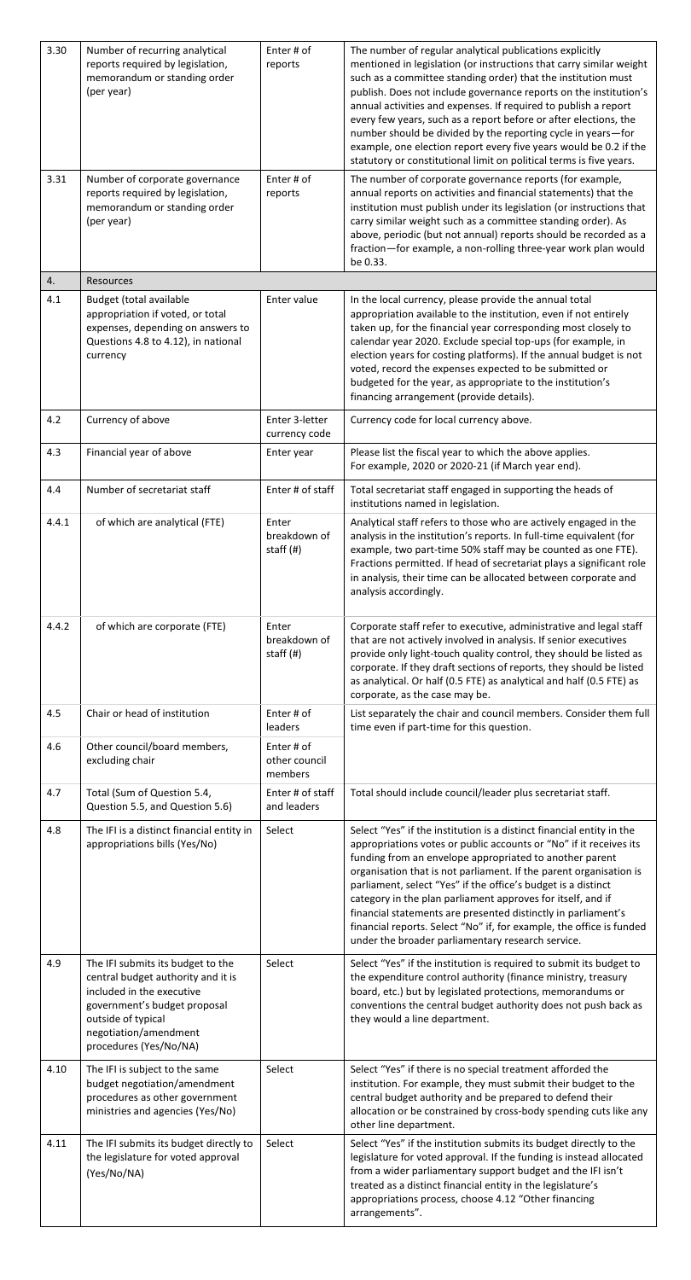| 3.30  | Number of recurring analytical<br>reports required by legislation,<br>memorandum or standing order<br>(per year)                                                                                              | Enter # of<br>reports                    | The number of regular analytical publications explicitly<br>mentioned in legislation (or instructions that carry similar weight<br>such as a committee standing order) that the institution must<br>publish. Does not include governance reports on the institution's<br>annual activities and expenses. If required to publish a report<br>every few years, such as a report before or after elections, the<br>number should be divided by the reporting cycle in years-for<br>example, one election report every five years would be 0.2 if the<br>statutory or constitutional limit on political terms is five years. |
|-------|---------------------------------------------------------------------------------------------------------------------------------------------------------------------------------------------------------------|------------------------------------------|--------------------------------------------------------------------------------------------------------------------------------------------------------------------------------------------------------------------------------------------------------------------------------------------------------------------------------------------------------------------------------------------------------------------------------------------------------------------------------------------------------------------------------------------------------------------------------------------------------------------------|
| 3.31  | Number of corporate governance<br>reports required by legislation,<br>memorandum or standing order<br>(per year)                                                                                              | Enter # of<br>reports                    | The number of corporate governance reports (for example,<br>annual reports on activities and financial statements) that the<br>institution must publish under its legislation (or instructions that<br>carry similar weight such as a committee standing order). As<br>above, periodic (but not annual) reports should be recorded as a<br>fraction-for example, a non-rolling three-year work plan would<br>be 0.33.                                                                                                                                                                                                    |
| 4.    | <b>Resources</b>                                                                                                                                                                                              |                                          |                                                                                                                                                                                                                                                                                                                                                                                                                                                                                                                                                                                                                          |
| 4.1   | Budget (total available<br>appropriation if voted, or total<br>expenses, depending on answers to<br>Questions 4.8 to 4.12), in national<br>currency                                                           | Enter value                              | In the local currency, please provide the annual total<br>appropriation available to the institution, even if not entirely<br>taken up, for the financial year corresponding most closely to<br>calendar year 2020. Exclude special top-ups (for example, in<br>election years for costing platforms). If the annual budget is not<br>voted, record the expenses expected to be submitted or<br>budgeted for the year, as appropriate to the institution's<br>financing arrangement (provide details).                                                                                                                   |
| 4.2   | Currency of above                                                                                                                                                                                             | Enter 3-letter                           | Currency code for local currency above.                                                                                                                                                                                                                                                                                                                                                                                                                                                                                                                                                                                  |
| 4.3   | Financial year of above                                                                                                                                                                                       | currency code<br>Enter year              | Please list the fiscal year to which the above applies.<br>For example, 2020 or 2020-21 (if March year end).                                                                                                                                                                                                                                                                                                                                                                                                                                                                                                             |
| 4.4   | Number of secretariat staff                                                                                                                                                                                   | Enter # of staff                         | Total secretariat staff engaged in supporting the heads of<br>institutions named in legislation.                                                                                                                                                                                                                                                                                                                                                                                                                                                                                                                         |
| 4.4.1 | of which are analytical (FTE)                                                                                                                                                                                 | Enter<br>breakdown of<br>staff (#)       | Analytical staff refers to those who are actively engaged in the<br>analysis in the institution's reports. In full-time equivalent (for<br>example, two part-time 50% staff may be counted as one FTE).<br>Fractions permitted. If head of secretariat plays a significant role<br>in analysis, their time can be allocated between corporate and<br>analysis accordingly.                                                                                                                                                                                                                                               |
| 4.4.2 | of which are corporate (FTE)                                                                                                                                                                                  | Enter<br>breakdown of<br>staff $($ # $)$ | Corporate staff refer to executive, administrative and legal staff<br>that are not actively involved in analysis. If senior executives<br>provide only light-touch quality control, they should be listed as<br>corporate. If they draft sections of reports, they should be listed<br>as analytical. Or half (0.5 FTE) as analytical and half (0.5 FTE) as<br>corporate, as the case may be.                                                                                                                                                                                                                            |
| 4.5   | Chair or head of institution                                                                                                                                                                                  | Enter # of<br>leaders                    | List separately the chair and council members. Consider them full<br>time even if part-time for this question.                                                                                                                                                                                                                                                                                                                                                                                                                                                                                                           |
| 4.6   | Other council/board members,<br>excluding chair                                                                                                                                                               | Enter # of<br>other council<br>members   |                                                                                                                                                                                                                                                                                                                                                                                                                                                                                                                                                                                                                          |
| 4.7   | Total (Sum of Question 5.4,<br>Question 5.5, and Question 5.6)                                                                                                                                                | Enter # of staff<br>and leaders          | Total should include council/leader plus secretariat staff.                                                                                                                                                                                                                                                                                                                                                                                                                                                                                                                                                              |
| 4.8   | The IFI is a distinct financial entity in<br>appropriations bills (Yes/No)                                                                                                                                    | Select                                   | Select "Yes" if the institution is a distinct financial entity in the<br>appropriations votes or public accounts or "No" if it receives its<br>funding from an envelope appropriated to another parent<br>organisation that is not parliament. If the parent organisation is<br>parliament, select "Yes" if the office's budget is a distinct<br>category in the plan parliament approves for itself, and if<br>financial statements are presented distinctly in parliament's<br>financial reports. Select "No" if, for example, the office is funded<br>under the broader parliamentary research service.               |
| 4.9   | The IFI submits its budget to the<br>central budget authority and it is<br>included in the executive<br>government's budget proposal<br>outside of typical<br>negotiation/amendment<br>procedures (Yes/No/NA) | Select                                   | Select "Yes" if the institution is required to submit its budget to<br>the expenditure control authority (finance ministry, treasury<br>board, etc.) but by legislated protections, memorandums or<br>conventions the central budget authority does not push back as<br>they would a line department.                                                                                                                                                                                                                                                                                                                    |
| 4.10  | The IFI is subject to the same<br>budget negotiation/amendment<br>procedures as other government<br>ministries and agencies (Yes/No)                                                                          | Select                                   | Select "Yes" if there is no special treatment afforded the<br>institution. For example, they must submit their budget to the<br>central budget authority and be prepared to defend their<br>allocation or be constrained by cross-body spending cuts like any<br>other line department.                                                                                                                                                                                                                                                                                                                                  |
| 4.11  | The IFI submits its budget directly to<br>the legislature for voted approval<br>(Yes/No/NA)                                                                                                                   | Select                                   | Select "Yes" if the institution submits its budget directly to the<br>legislature for voted approval. If the funding is instead allocated<br>from a wider parliamentary support budget and the IFI isn't<br>treated as a distinct financial entity in the legislature's<br>appropriations process, choose 4.12 "Other financing<br>arrangements".                                                                                                                                                                                                                                                                        |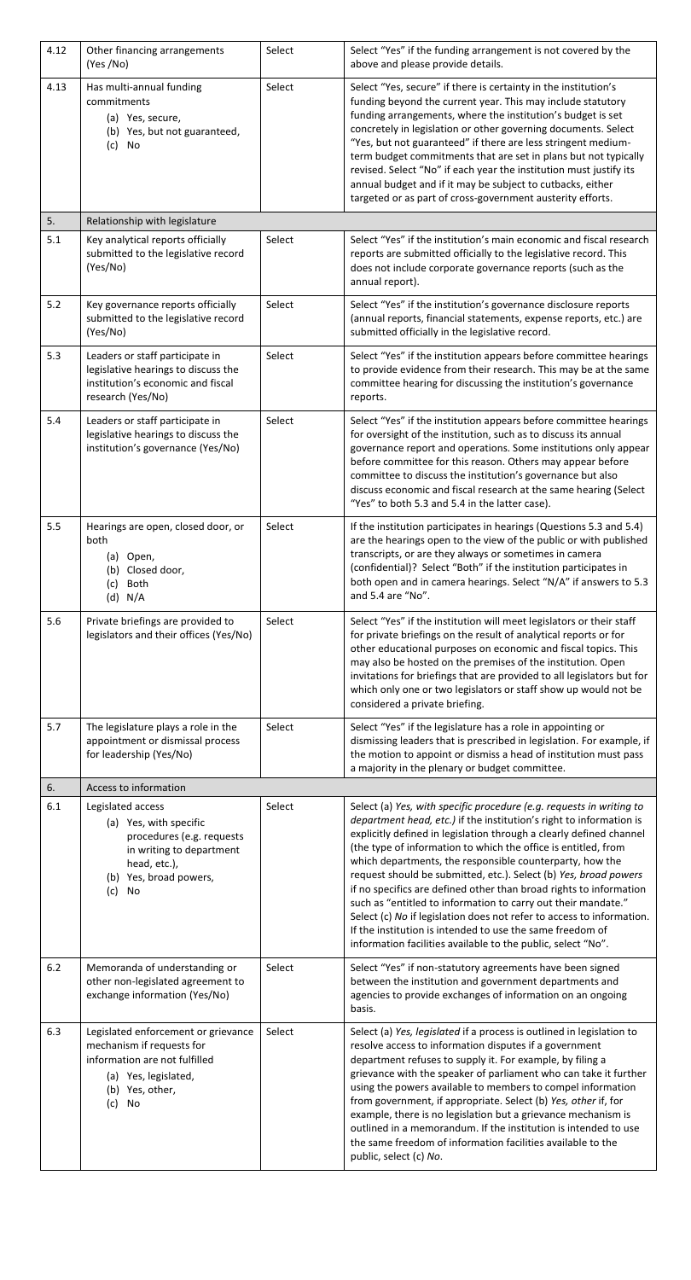| 4.12    | Other financing arrangements<br>(Yes /No)                                                                                                                   | Select | Select "Yes" if the funding arrangement is not covered by the<br>above and please provide details.                                                                                                                                                                                                                                                                                                                                                                                                                                                                                                                                                                                                                                                                |
|---------|-------------------------------------------------------------------------------------------------------------------------------------------------------------|--------|-------------------------------------------------------------------------------------------------------------------------------------------------------------------------------------------------------------------------------------------------------------------------------------------------------------------------------------------------------------------------------------------------------------------------------------------------------------------------------------------------------------------------------------------------------------------------------------------------------------------------------------------------------------------------------------------------------------------------------------------------------------------|
| 4.13    | Has multi-annual funding<br>commitments<br>(a) Yes, secure,<br>(b) Yes, but not guaranteed,<br>No<br>(c)                                                    | Select | Select "Yes, secure" if there is certainty in the institution's<br>funding beyond the current year. This may include statutory<br>funding arrangements, where the institution's budget is set<br>concretely in legislation or other governing documents. Select<br>"Yes, but not guaranteed" if there are less stringent medium-<br>term budget commitments that are set in plans but not typically<br>revised. Select "No" if each year the institution must justify its<br>annual budget and if it may be subject to cutbacks, either<br>targeted or as part of cross-government austerity efforts.                                                                                                                                                             |
| 5.      | Relationship with legislature                                                                                                                               |        |                                                                                                                                                                                                                                                                                                                                                                                                                                                                                                                                                                                                                                                                                                                                                                   |
| 5.1     | Key analytical reports officially<br>submitted to the legislative record<br>(Yes/No)                                                                        | Select | Select "Yes" if the institution's main economic and fiscal research<br>reports are submitted officially to the legislative record. This<br>does not include corporate governance reports (such as the<br>annual report).                                                                                                                                                                                                                                                                                                                                                                                                                                                                                                                                          |
| 5.2     | Key governance reports officially<br>submitted to the legislative record<br>(Yes/No)                                                                        | Select | Select "Yes" if the institution's governance disclosure reports<br>(annual reports, financial statements, expense reports, etc.) are<br>submitted officially in the legislative record.                                                                                                                                                                                                                                                                                                                                                                                                                                                                                                                                                                           |
| 5.3     | Leaders or staff participate in<br>legislative hearings to discuss the<br>institution's economic and fiscal<br>research (Yes/No)                            | Select | Select "Yes" if the institution appears before committee hearings<br>to provide evidence from their research. This may be at the same<br>committee hearing for discussing the institution's governance<br>reports.                                                                                                                                                                                                                                                                                                                                                                                                                                                                                                                                                |
| 5.4     | Leaders or staff participate in<br>legislative hearings to discuss the<br>institution's governance (Yes/No)                                                 | Select | Select "Yes" if the institution appears before committee hearings<br>for oversight of the institution, such as to discuss its annual<br>governance report and operations. Some institutions only appear<br>before committee for this reason. Others may appear before<br>committee to discuss the institution's governance but also<br>discuss economic and fiscal research at the same hearing (Select<br>"Yes" to both 5.3 and 5.4 in the latter case).                                                                                                                                                                                                                                                                                                         |
| 5.5     | Hearings are open, closed door, or<br>both<br>Open,<br>(a)<br>Closed door,<br>(b)<br><b>Both</b><br>(c)<br>$(d)$ N/A                                        | Select | If the institution participates in hearings (Questions 5.3 and 5.4)<br>are the hearings open to the view of the public or with published<br>transcripts, or are they always or sometimes in camera<br>(confidential)? Select "Both" if the institution participates in<br>both open and in camera hearings. Select "N/A" if answers to 5.3<br>and 5.4 are "No".                                                                                                                                                                                                                                                                                                                                                                                                   |
| 5.6     | Private briefings are provided to<br>legislators and their offices (Yes/No)                                                                                 | Select | Select "Yes" if the institution will meet legislators or their staff<br>for private briefings on the result of analytical reports or for<br>other educational purposes on economic and fiscal topics. This<br>may also be hosted on the premises of the institution. Open<br>invitations for briefings that are provided to all legislators but for<br>which only one or two legislators or staff show up would not be<br>considered a private briefing.                                                                                                                                                                                                                                                                                                          |
| 5.7     | The legislature plays a role in the<br>appointment or dismissal process<br>for leadership (Yes/No)                                                          | Select | Select "Yes" if the legislature has a role in appointing or<br>dismissing leaders that is prescribed in legislation. For example, if<br>the motion to appoint or dismiss a head of institution must pass<br>a majority in the plenary or budget committee.                                                                                                                                                                                                                                                                                                                                                                                                                                                                                                        |
| 6.      | Access to information                                                                                                                                       |        |                                                                                                                                                                                                                                                                                                                                                                                                                                                                                                                                                                                                                                                                                                                                                                   |
| 6.1     | Legislated access<br>(a) Yes, with specific<br>procedures (e.g. requests<br>in writing to department<br>head, etc.),<br>(b) Yes, broad powers,<br>No<br>(c) | Select | Select (a) Yes, with specific procedure (e.g. requests in writing to<br>department head, etc.) if the institution's right to information is<br>explicitly defined in legislation through a clearly defined channel<br>(the type of information to which the office is entitled, from<br>which departments, the responsible counterparty, how the<br>request should be submitted, etc.). Select (b) Yes, broad powers<br>if no specifics are defined other than broad rights to information<br>such as "entitled to information to carry out their mandate."<br>Select (c) No if legislation does not refer to access to information.<br>If the institution is intended to use the same freedom of<br>information facilities available to the public, select "No". |
| $6.2\,$ | Memoranda of understanding or<br>other non-legislated agreement to<br>exchange information (Yes/No)                                                         | Select | Select "Yes" if non-statutory agreements have been signed<br>between the institution and government departments and<br>agencies to provide exchanges of information on an ongoing<br>basis.                                                                                                                                                                                                                                                                                                                                                                                                                                                                                                                                                                       |
| 6.3     | Legislated enforcement or grievance<br>mechanism if requests for<br>information are not fulfilled<br>(a) Yes, legislated,<br>(b) Yes, other,<br>$(c)$ No    | Select | Select (a) Yes, legislated if a process is outlined in legislation to<br>resolve access to information disputes if a government<br>department refuses to supply it. For example, by filing a<br>grievance with the speaker of parliament who can take it further<br>using the powers available to members to compel information<br>from government, if appropriate. Select (b) Yes, other if, for<br>example, there is no legislation but a grievance mechanism is<br>outlined in a memorandum. If the institution is intended to use<br>the same freedom of information facilities available to the<br>public, select (c) No.                                                                                                                                    |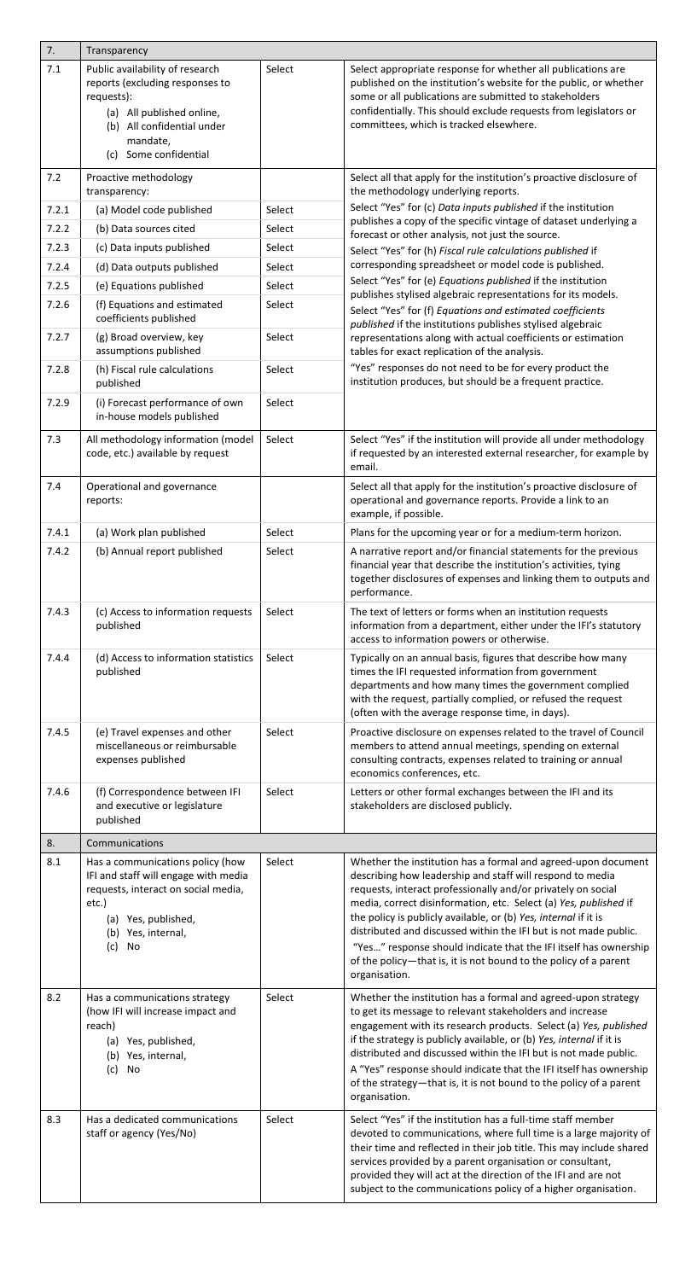| 7.             | Transparency                                                                                                                                                                       |                  |                                                                                                                                                                                                                                                                                                                                                                                                                                                                                                                                                                |
|----------------|------------------------------------------------------------------------------------------------------------------------------------------------------------------------------------|------------------|----------------------------------------------------------------------------------------------------------------------------------------------------------------------------------------------------------------------------------------------------------------------------------------------------------------------------------------------------------------------------------------------------------------------------------------------------------------------------------------------------------------------------------------------------------------|
| 7.1            | Public availability of research<br>reports (excluding responses to<br>requests):<br>(a) All published online,<br>(b) All confidential under<br>mandate,                            | Select           | Select appropriate response for whether all publications are<br>published on the institution's website for the public, or whether<br>some or all publications are submitted to stakeholders<br>confidentially. This should exclude requests from legislators or<br>committees, which is tracked elsewhere.                                                                                                                                                                                                                                                     |
| 7.2            | (c) Some confidential<br>Proactive methodology                                                                                                                                     |                  | Select all that apply for the institution's proactive disclosure of                                                                                                                                                                                                                                                                                                                                                                                                                                                                                            |
|                | transparency:                                                                                                                                                                      |                  | the methodology underlying reports.<br>Select "Yes" for (c) Data inputs published if the institution                                                                                                                                                                                                                                                                                                                                                                                                                                                           |
| 7.2.1          | (a) Model code published                                                                                                                                                           | Select           | publishes a copy of the specific vintage of dataset underlying a                                                                                                                                                                                                                                                                                                                                                                                                                                                                                               |
| 7.2.2          | (b) Data sources cited                                                                                                                                                             | Select           | forecast or other analysis, not just the source.                                                                                                                                                                                                                                                                                                                                                                                                                                                                                                               |
| 7.2.3          | (c) Data inputs published                                                                                                                                                          | Select           | Select "Yes" for (h) Fiscal rule calculations published if<br>corresponding spreadsheet or model code is published.                                                                                                                                                                                                                                                                                                                                                                                                                                            |
| 7.2.4          | (d) Data outputs published                                                                                                                                                         | Select           | Select "Yes" for (e) Equations published if the institution                                                                                                                                                                                                                                                                                                                                                                                                                                                                                                    |
| 7.2.5<br>7.2.6 | (e) Equations published<br>(f) Equations and estimated<br>coefficients published                                                                                                   | Select<br>Select | publishes stylised algebraic representations for its models.<br>Select "Yes" for (f) Equations and estimated coefficients                                                                                                                                                                                                                                                                                                                                                                                                                                      |
| 7.2.7          | (g) Broad overview, key<br>assumptions published                                                                                                                                   | Select           | published if the institutions publishes stylised algebraic<br>representations along with actual coefficients or estimation<br>tables for exact replication of the analysis.                                                                                                                                                                                                                                                                                                                                                                                    |
| 7.2.8          | (h) Fiscal rule calculations<br>published                                                                                                                                          | Select           | "Yes" responses do not need to be for every product the<br>institution produces, but should be a frequent practice.                                                                                                                                                                                                                                                                                                                                                                                                                                            |
| 7.2.9          | (i) Forecast performance of own<br>in-house models published                                                                                                                       | Select           |                                                                                                                                                                                                                                                                                                                                                                                                                                                                                                                                                                |
| 7.3            | All methodology information (model<br>code, etc.) available by request                                                                                                             | Select           | Select "Yes" if the institution will provide all under methodology<br>if requested by an interested external researcher, for example by<br>email.                                                                                                                                                                                                                                                                                                                                                                                                              |
| 7.4            | Operational and governance<br>reports:                                                                                                                                             |                  | Select all that apply for the institution's proactive disclosure of<br>operational and governance reports. Provide a link to an<br>example, if possible.                                                                                                                                                                                                                                                                                                                                                                                                       |
| 7.4.1          | (a) Work plan published                                                                                                                                                            | Select           | Plans for the upcoming year or for a medium-term horizon.                                                                                                                                                                                                                                                                                                                                                                                                                                                                                                      |
| 7.4.2          | (b) Annual report published                                                                                                                                                        | Select           | A narrative report and/or financial statements for the previous<br>financial year that describe the institution's activities, tying<br>together disclosures of expenses and linking them to outputs and<br>performance.                                                                                                                                                                                                                                                                                                                                        |
| 7.4.3          | (c) Access to information requests<br>published                                                                                                                                    | Select           | The text of letters or forms when an institution requests<br>information from a department, either under the IFI's statutory<br>access to information powers or otherwise.                                                                                                                                                                                                                                                                                                                                                                                     |
| 7.4.4          | (d) Access to information statistics<br>published                                                                                                                                  | Select           | Typically on an annual basis, figures that describe how many<br>times the IFI requested information from government<br>departments and how many times the government complied<br>with the request, partially complied, or refused the request<br>(often with the average response time, in days).                                                                                                                                                                                                                                                              |
| 7.4.5          | (e) Travel expenses and other<br>miscellaneous or reimbursable<br>expenses published                                                                                               | Select           | Proactive disclosure on expenses related to the travel of Council<br>members to attend annual meetings, spending on external<br>consulting contracts, expenses related to training or annual<br>economics conferences, etc.                                                                                                                                                                                                                                                                                                                                    |
| 7.4.6          | (f) Correspondence between IFI<br>and executive or legislature<br>published                                                                                                        | Select           | Letters or other formal exchanges between the IFI and its<br>stakeholders are disclosed publicly.                                                                                                                                                                                                                                                                                                                                                                                                                                                              |
| 8.             | Communications                                                                                                                                                                     |                  |                                                                                                                                                                                                                                                                                                                                                                                                                                                                                                                                                                |
| 8.1            | Has a communications policy (how<br>IFI and staff will engage with media<br>requests, interact on social media,<br>etc.)<br>(a) Yes, published,<br>(b) Yes, internal,<br>(c)<br>No | Select           | Whether the institution has a formal and agreed-upon document<br>describing how leadership and staff will respond to media<br>requests, interact professionally and/or privately on social<br>media, correct disinformation, etc. Select (a) Yes, published if<br>the policy is publicly available, or (b) Yes, internal if it is<br>distributed and discussed within the IFI but is not made public.<br>"Yes" response should indicate that the IFI itself has ownership<br>of the policy-that is, it is not bound to the policy of a parent<br>organisation. |
| 8.2            | Has a communications strategy<br>(how IFI will increase impact and<br>reach)<br>(a) Yes, published,<br>(b) Yes, internal,<br>(c) No                                                | Select           | Whether the institution has a formal and agreed-upon strategy<br>to get its message to relevant stakeholders and increase<br>engagement with its research products. Select (a) Yes, published<br>if the strategy is publicly available, or (b) Yes, internal if it is<br>distributed and discussed within the IFI but is not made public.<br>A "Yes" response should indicate that the IFI itself has ownership<br>of the strategy-that is, it is not bound to the policy of a parent<br>organisation.                                                         |
| 8.3            | Has a dedicated communications<br>staff or agency (Yes/No)                                                                                                                         | Select           | Select "Yes" if the institution has a full-time staff member<br>devoted to communications, where full time is a large majority of<br>their time and reflected in their job title. This may include shared<br>services provided by a parent organisation or consultant,<br>provided they will act at the direction of the IFI and are not<br>subject to the communications policy of a higher organisation.                                                                                                                                                     |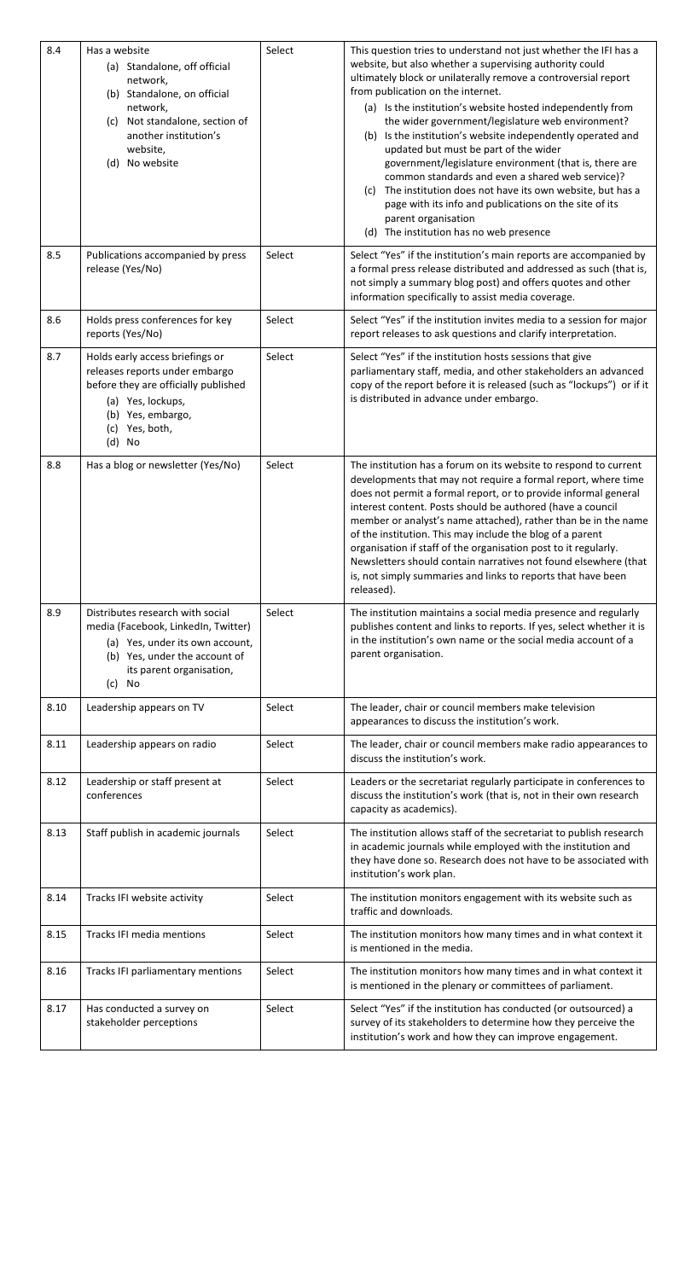| 8.4  | Has a website<br>(a) Standalone, off official<br>network,<br>(b) Standalone, on official<br>network,<br>Not standalone, section of<br>(c)<br>another institution's<br>website,<br>(d) No website | Select | This question tries to understand not just whether the IFI has a<br>website, but also whether a supervising authority could<br>ultimately block or unilaterally remove a controversial report<br>from publication on the internet.<br>(a) Is the institution's website hosted independently from<br>the wider government/legislature web environment?<br>Is the institution's website independently operated and<br>(b)<br>updated but must be part of the wider<br>government/legislature environment (that is, there are<br>common standards and even a shared web service)?<br>The institution does not have its own website, but has a<br>(C)<br>page with its info and publications on the site of its<br>parent organisation<br>(d) The institution has no web presence |
|------|--------------------------------------------------------------------------------------------------------------------------------------------------------------------------------------------------|--------|-------------------------------------------------------------------------------------------------------------------------------------------------------------------------------------------------------------------------------------------------------------------------------------------------------------------------------------------------------------------------------------------------------------------------------------------------------------------------------------------------------------------------------------------------------------------------------------------------------------------------------------------------------------------------------------------------------------------------------------------------------------------------------|
| 8.5  | Publications accompanied by press<br>release (Yes/No)                                                                                                                                            | Select | Select "Yes" if the institution's main reports are accompanied by<br>a formal press release distributed and addressed as such (that is,<br>not simply a summary blog post) and offers quotes and other<br>information specifically to assist media coverage.                                                                                                                                                                                                                                                                                                                                                                                                                                                                                                                  |
| 8.6  | Holds press conferences for key<br>reports (Yes/No)                                                                                                                                              | Select | Select "Yes" if the institution invites media to a session for major<br>report releases to ask questions and clarify interpretation.                                                                                                                                                                                                                                                                                                                                                                                                                                                                                                                                                                                                                                          |
| 8.7  | Holds early access briefings or<br>releases reports under embargo<br>before they are officially published<br>(a) Yes, lockups,<br>(b) Yes, embargo,<br>(c) Yes, both,<br>$(d)$ No                | Select | Select "Yes" if the institution hosts sessions that give<br>parliamentary staff, media, and other stakeholders an advanced<br>copy of the report before it is released (such as "lockups") or if it<br>is distributed in advance under embargo.                                                                                                                                                                                                                                                                                                                                                                                                                                                                                                                               |
| 8.8  | Has a blog or newsletter (Yes/No)                                                                                                                                                                | Select | The institution has a forum on its website to respond to current<br>developments that may not require a formal report, where time<br>does not permit a formal report, or to provide informal general<br>interest content. Posts should be authored (have a council<br>member or analyst's name attached), rather than be in the name<br>of the institution. This may include the blog of a parent<br>organisation if staff of the organisation post to it regularly.<br>Newsletters should contain narratives not found elsewhere (that<br>is, not simply summaries and links to reports that have been<br>released).                                                                                                                                                         |
| 8.9  | Distributes research with social<br>media (Facebook, LinkedIn, Twitter)<br>(a) Yes, under its own account,<br>(b) Yes, under the account of<br>its parent organisation,<br>(c) No                | Select | The institution maintains a social media presence and regularly<br>publishes content and links to reports. If yes, select whether it is<br>in the institution's own name or the social media account of a<br>parent organisation.                                                                                                                                                                                                                                                                                                                                                                                                                                                                                                                                             |
| 8.10 | Leadership appears on TV                                                                                                                                                                         | Select | The leader, chair or council members make television<br>appearances to discuss the institution's work.                                                                                                                                                                                                                                                                                                                                                                                                                                                                                                                                                                                                                                                                        |
| 8.11 | Leadership appears on radio                                                                                                                                                                      | Select | The leader, chair or council members make radio appearances to<br>discuss the institution's work.                                                                                                                                                                                                                                                                                                                                                                                                                                                                                                                                                                                                                                                                             |
| 8.12 | Leadership or staff present at<br>conferences                                                                                                                                                    | Select | Leaders or the secretariat regularly participate in conferences to<br>discuss the institution's work (that is, not in their own research<br>capacity as academics).                                                                                                                                                                                                                                                                                                                                                                                                                                                                                                                                                                                                           |
| 8.13 | Staff publish in academic journals                                                                                                                                                               | Select | The institution allows staff of the secretariat to publish research<br>in academic journals while employed with the institution and<br>they have done so. Research does not have to be associated with<br>institution's work plan.                                                                                                                                                                                                                                                                                                                                                                                                                                                                                                                                            |
| 8.14 | Tracks IFI website activity                                                                                                                                                                      | Select | The institution monitors engagement with its website such as<br>traffic and downloads.                                                                                                                                                                                                                                                                                                                                                                                                                                                                                                                                                                                                                                                                                        |
| 8.15 | Tracks IFI media mentions                                                                                                                                                                        | Select | The institution monitors how many times and in what context it<br>is mentioned in the media.                                                                                                                                                                                                                                                                                                                                                                                                                                                                                                                                                                                                                                                                                  |
| 8.16 | Tracks IFI parliamentary mentions                                                                                                                                                                | Select | The institution monitors how many times and in what context it<br>is mentioned in the plenary or committees of parliament.                                                                                                                                                                                                                                                                                                                                                                                                                                                                                                                                                                                                                                                    |
| 8.17 | Has conducted a survey on                                                                                                                                                                        | Select | Select "Yes" if the institution has conducted (or outsourced) a                                                                                                                                                                                                                                                                                                                                                                                                                                                                                                                                                                                                                                                                                                               |

|  | stakeholder perceptions | survey of its stakeholders to determine how they perceive the |
|--|-------------------------|---------------------------------------------------------------|
|  |                         | institution's work and how they can improve engagement.       |